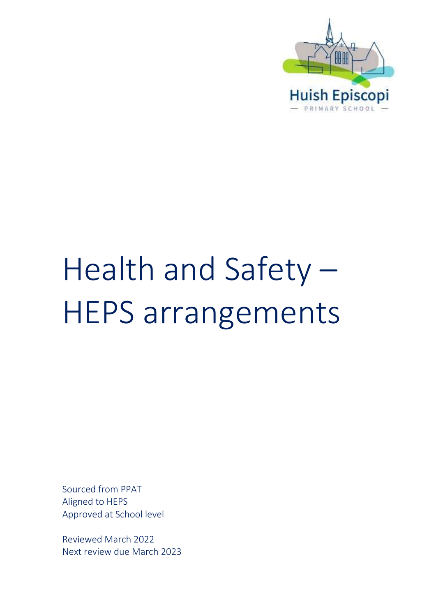

# Health and Safety – HEPS arrangements

Sourced from PPAT Aligned to HEPS Approved at School level

Reviewed March 2022 Next review due March 2023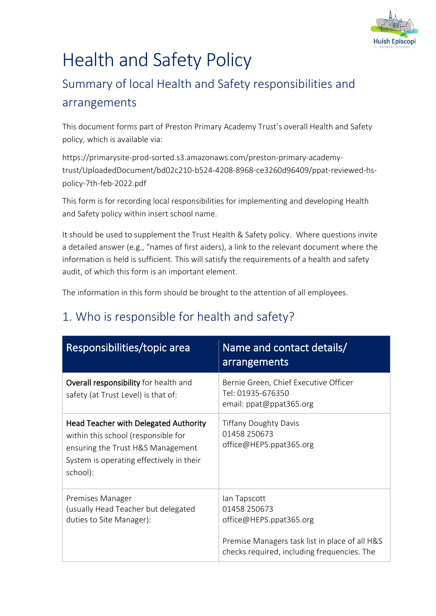

## Health and Safety Policy

## Summary of local Health and Safety responsibilities and arrangements

This document forms part of Preston Primary Academy Trust's overall Health and Safety policy, which is available via:

[https://primarysite-prod-sorted.s3.amazonaws.com/preston-primary-academy](https://primarysite-prod-sorted.s3.amazonaws.com/preston-primary-academy-trust/UploadedDocument/bd02c210-b524-4208-8968-ce3260d96409/ppat-reviewed-hs-policy-7th-feb-2022.pdf)[trust/UploadedDocument/bd02c210-b524-4208-8968-ce3260d96409/ppat-reviewed-hs](https://primarysite-prod-sorted.s3.amazonaws.com/preston-primary-academy-trust/UploadedDocument/bd02c210-b524-4208-8968-ce3260d96409/ppat-reviewed-hs-policy-7th-feb-2022.pdf)[policy-7th-feb-2022.pdf](https://primarysite-prod-sorted.s3.amazonaws.com/preston-primary-academy-trust/UploadedDocument/bd02c210-b524-4208-8968-ce3260d96409/ppat-reviewed-hs-policy-7th-feb-2022.pdf)

This form is for recording local responsibilities for implementing and developing Health and Safety policy within insert school name.

It should be used to supplement the Trust Health & Safety policy. Where questions invite a detailed answer (e.g., "names of first aiders), a link to the relevant document where the information is held is sufficient. This will satisfy the requirements of a health and safety audit, of which this form is an important element.

The information in this form should be brought to the attention of all employees.

| Responsibilities/topic area                                                                                                                                                      | Name and contact details/<br>arrangements                                                                                                                |
|----------------------------------------------------------------------------------------------------------------------------------------------------------------------------------|----------------------------------------------------------------------------------------------------------------------------------------------------------|
| Overall responsibility for health and<br>safety (at Trust Level) is that of:                                                                                                     | Bernie Green, Chief Executive Officer<br>Tel: 01935-676350<br>email: ppat@ppat365.org                                                                    |
| <b>Head Teacher with Delegated Authority</b><br>within this school (responsible for<br>ensuring the Trust H&S Management<br>System is operating effectively in their<br>school): | <b>Tiffany Doughty Davis</b><br>01458 250673<br>office@HEPS.ppat365.org                                                                                  |
| Premises Manager<br>(usually Head Teacher but delegated<br>duties to Site Manager):                                                                                              | lan Tapscott<br>01458 250673<br>office@HEPS.ppat365.org<br>Premise Managers task list in place of all H&S<br>checks required, including frequencies. The |

#### 1. Who is responsible for health and safety?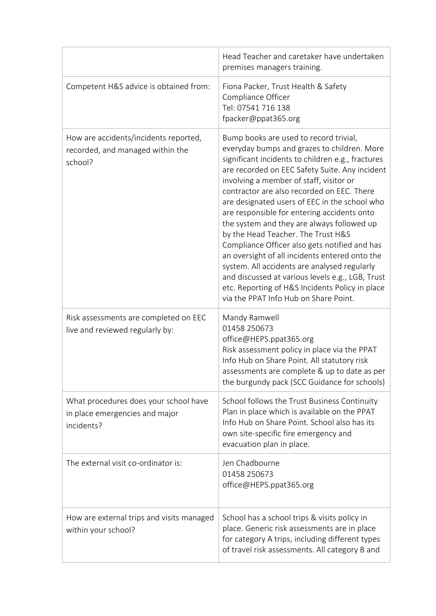|                                                                                       | Head Teacher and caretaker have undertaken<br>premises managers training.                                                                                                                                                                                                                                                                                                                                                                                                                                                                                                                                                                                                                                                                                                    |
|---------------------------------------------------------------------------------------|------------------------------------------------------------------------------------------------------------------------------------------------------------------------------------------------------------------------------------------------------------------------------------------------------------------------------------------------------------------------------------------------------------------------------------------------------------------------------------------------------------------------------------------------------------------------------------------------------------------------------------------------------------------------------------------------------------------------------------------------------------------------------|
| Competent H&S advice is obtained from:                                                | Fiona Packer, Trust Health & Safety<br>Compliance Officer<br>Tel: 07541 716 138<br>fpacker@ppat365.org                                                                                                                                                                                                                                                                                                                                                                                                                                                                                                                                                                                                                                                                       |
| How are accidents/incidents reported,<br>recorded, and managed within the<br>school?  | Bump books are used to record trivial,<br>everyday bumps and grazes to children. More<br>significant incidents to children e.g., fractures<br>are recorded on EEC Safety Suite. Any incident<br>involving a member of staff, visitor or<br>contractor are also recorded on EEC. There<br>are designated users of EEC in the school who<br>are responsible for entering accidents onto<br>the system and they are always followed up<br>by the Head Teacher. The Trust H&S<br>Compliance Officer also gets notified and has<br>an oversight of all incidents entered onto the<br>system. All accidents are analysed regularly<br>and discussed at various levels e.g., LGB, Trust<br>etc. Reporting of H&S Incidents Policy in place<br>via the PPAT Info Hub on Share Point. |
| Risk assessments are completed on EEC<br>live and reviewed regularly by:              | Mandy Ramwell<br>01458 250673<br>office@HEPS.ppat365.org<br>Risk assessment policy in place via the PPAT<br>Info Hub on Share Point. All statutory risk<br>assessments are complete & up to date as per<br>the burgundy pack (SCC Guidance for schools)                                                                                                                                                                                                                                                                                                                                                                                                                                                                                                                      |
| What procedures does your school have<br>in place emergencies and major<br>incidents? | School follows the Trust Business Continuity<br>Plan in place which is available on the PPAT<br>Info Hub on Share Point. School also has its<br>own site-specific fire emergency and<br>evacuation plan in place.                                                                                                                                                                                                                                                                                                                                                                                                                                                                                                                                                            |
| The external visit co-ordinator is:                                                   | Jen Chadbourne<br>01458 250673<br>office@HEPS.ppat365.org                                                                                                                                                                                                                                                                                                                                                                                                                                                                                                                                                                                                                                                                                                                    |
| How are external trips and visits managed<br>within your school?                      | School has a school trips & visits policy in<br>place. Generic risk assessments are in place<br>for category A trips, including different types<br>of travel risk assessments. All category B and                                                                                                                                                                                                                                                                                                                                                                                                                                                                                                                                                                            |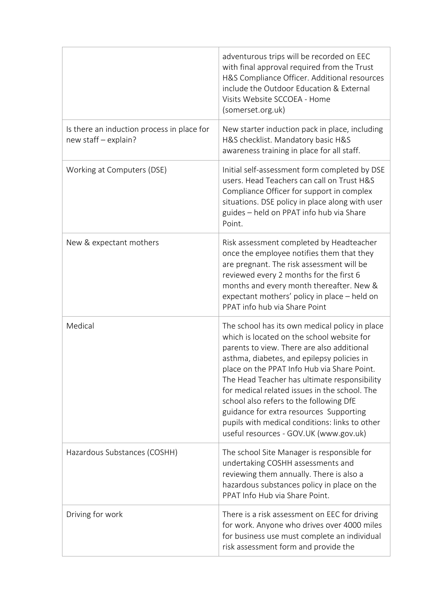|                                                                    | adventurous trips will be recorded on EEC<br>with final approval required from the Trust<br>H&S Compliance Officer. Additional resources                                                                                                                                                                                                                                                                                                                                                                                   |
|--------------------------------------------------------------------|----------------------------------------------------------------------------------------------------------------------------------------------------------------------------------------------------------------------------------------------------------------------------------------------------------------------------------------------------------------------------------------------------------------------------------------------------------------------------------------------------------------------------|
|                                                                    | include the Outdoor Education & External<br>Visits Website SCCOEA - Home<br>(somerset.org.uk)                                                                                                                                                                                                                                                                                                                                                                                                                              |
| Is there an induction process in place for<br>new staff - explain? | New starter induction pack in place, including<br>H&S checklist. Mandatory basic H&S<br>awareness training in place for all staff.                                                                                                                                                                                                                                                                                                                                                                                         |
| Working at Computers (DSE)                                         | Initial self-assessment form completed by DSE<br>users. Head Teachers can call on Trust H&S<br>Compliance Officer for support in complex<br>situations. DSE policy in place along with user<br>guides - held on PPAT info hub via Share<br>Point.                                                                                                                                                                                                                                                                          |
| New & expectant mothers                                            | Risk assessment completed by Headteacher<br>once the employee notifies them that they<br>are pregnant. The risk assessment will be<br>reviewed every 2 months for the first 6<br>months and every month thereafter. New &<br>expectant mothers' policy in place – held on<br>PPAT info hub via Share Point                                                                                                                                                                                                                 |
| Medical                                                            | The school has its own medical policy in place<br>which is located on the school website for<br>parents to view. There are also additional<br>asthma, diabetes, and epilepsy policies in<br>place on the PPAT Info Hub via Share Point.<br>The Head Teacher has ultimate responsibility<br>for medical related issues in the school. The<br>school also refers to the following DfE<br>guidance for extra resources Supporting<br>pupils with medical conditions: links to other<br>useful resources - GOV.UK (www.gov.uk) |
| Hazardous Substances (COSHH)                                       | The school Site Manager is responsible for<br>undertaking COSHH assessments and<br>reviewing them annually. There is also a<br>hazardous substances policy in place on the<br>PPAT Info Hub via Share Point.                                                                                                                                                                                                                                                                                                               |
| Driving for work                                                   | There is a risk assessment on EEC for driving<br>for work. Anyone who drives over 4000 miles<br>for business use must complete an individual<br>risk assessment form and provide the                                                                                                                                                                                                                                                                                                                                       |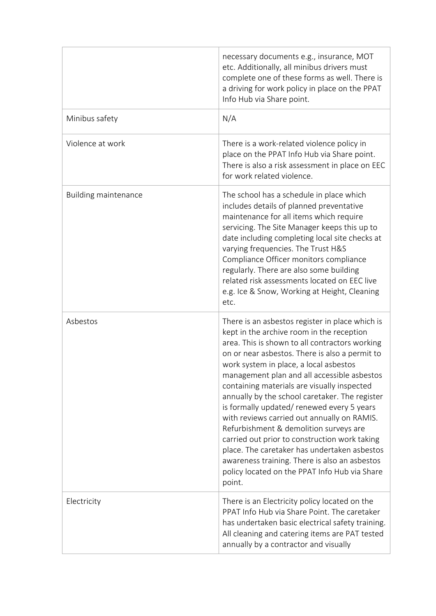|                             | necessary documents e.g., insurance, MOT<br>etc. Additionally, all minibus drivers must<br>complete one of these forms as well. There is<br>a driving for work policy in place on the PPAT<br>Info Hub via Share point.                                                                                                                                                                                                                                                                                                                                                                                                                                                                                                                       |
|-----------------------------|-----------------------------------------------------------------------------------------------------------------------------------------------------------------------------------------------------------------------------------------------------------------------------------------------------------------------------------------------------------------------------------------------------------------------------------------------------------------------------------------------------------------------------------------------------------------------------------------------------------------------------------------------------------------------------------------------------------------------------------------------|
| Minibus safety              | N/A                                                                                                                                                                                                                                                                                                                                                                                                                                                                                                                                                                                                                                                                                                                                           |
| Violence at work            | There is a work-related violence policy in<br>place on the PPAT Info Hub via Share point.<br>There is also a risk assessment in place on EEC<br>for work related violence.                                                                                                                                                                                                                                                                                                                                                                                                                                                                                                                                                                    |
| <b>Building maintenance</b> | The school has a schedule in place which<br>includes details of planned preventative<br>maintenance for all items which require<br>servicing. The Site Manager keeps this up to<br>date including completing local site checks at<br>varying frequencies. The Trust H&S<br>Compliance Officer monitors compliance<br>regularly. There are also some building<br>related risk assessments located on EEC live<br>e.g. Ice & Snow, Working at Height, Cleaning<br>etc.                                                                                                                                                                                                                                                                          |
| Asbestos                    | There is an asbestos register in place which is<br>kept in the archive room in the reception<br>area. This is shown to all contractors working<br>on or near asbestos. There is also a permit to<br>work system in place, a local asbestos<br>management plan and all accessible asbestos<br>containing materials are visually inspected<br>annually by the school caretaker. The register<br>is formally updated/renewed every 5 years<br>with reviews carried out annually on RAMIS.<br>Refurbishment & demolition surveys are<br>carried out prior to construction work taking<br>place. The caretaker has undertaken asbestos<br>awareness training. There is also an asbestos<br>policy located on the PPAT Info Hub via Share<br>point. |
| Electricity                 | There is an Electricity policy located on the<br>PPAT Info Hub via Share Point. The caretaker<br>has undertaken basic electrical safety training.<br>All cleaning and catering items are PAT tested<br>annually by a contractor and visually                                                                                                                                                                                                                                                                                                                                                                                                                                                                                                  |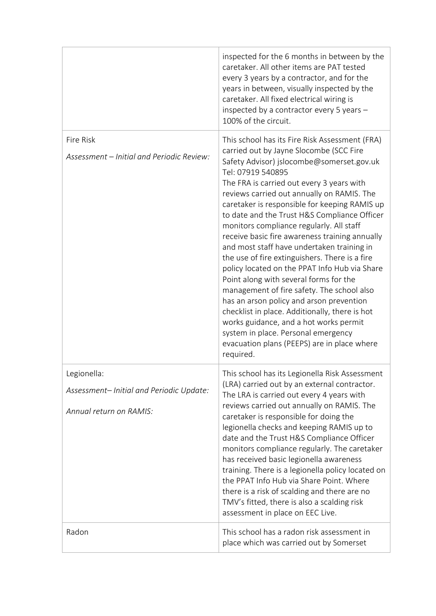|                                                                                   | inspected for the 6 months in between by the<br>caretaker. All other items are PAT tested<br>every 3 years by a contractor, and for the<br>years in between, visually inspected by the<br>caretaker. All fixed electrical wiring is<br>inspected by a contractor every 5 years -<br>100% of the circuit.                                                                                                                                                                                                                                                                                                                                                                                                                                                                                                                                                                                                                                  |
|-----------------------------------------------------------------------------------|-------------------------------------------------------------------------------------------------------------------------------------------------------------------------------------------------------------------------------------------------------------------------------------------------------------------------------------------------------------------------------------------------------------------------------------------------------------------------------------------------------------------------------------------------------------------------------------------------------------------------------------------------------------------------------------------------------------------------------------------------------------------------------------------------------------------------------------------------------------------------------------------------------------------------------------------|
| Fire Risk<br>Assessment - Initial and Periodic Review:                            | This school has its Fire Risk Assessment (FRA)<br>carried out by Jayne Slocombe (SCC Fire<br>Safety Advisor) jslocombe@somerset.gov.uk<br>Tel: 07919 540895<br>The FRA is carried out every 3 years with<br>reviews carried out annually on RAMIS. The<br>caretaker is responsible for keeping RAMIS up<br>to date and the Trust H&S Compliance Officer<br>monitors compliance regularly. All staff<br>receive basic fire awareness training annually<br>and most staff have undertaken training in<br>the use of fire extinguishers. There is a fire<br>policy located on the PPAT Info Hub via Share<br>Point along with several forms for the<br>management of fire safety. The school also<br>has an arson policy and arson prevention<br>checklist in place. Additionally, there is hot<br>works guidance, and a hot works permit<br>system in place. Personal emergency<br>evacuation plans (PEEPS) are in place where<br>required. |
| Legionella:<br>Assessment-Initial and Periodic Update:<br>Annual return on RAMIS: | This school has its Legionella Risk Assessment<br>(LRA) carried out by an external contractor.<br>The LRA is carried out every 4 years with<br>reviews carried out annually on RAMIS. The<br>caretaker is responsible for doing the<br>legionella checks and keeping RAMIS up to<br>date and the Trust H&S Compliance Officer<br>monitors compliance regularly. The caretaker<br>has received basic legionella awareness<br>training. There is a legionella policy located on<br>the PPAT Info Hub via Share Point. Where<br>there is a risk of scalding and there are no<br>TMV's fitted, there is also a scalding risk<br>assessment in place on EEC Live.                                                                                                                                                                                                                                                                              |
| Radon                                                                             | This school has a radon risk assessment in<br>place which was carried out by Somerset                                                                                                                                                                                                                                                                                                                                                                                                                                                                                                                                                                                                                                                                                                                                                                                                                                                     |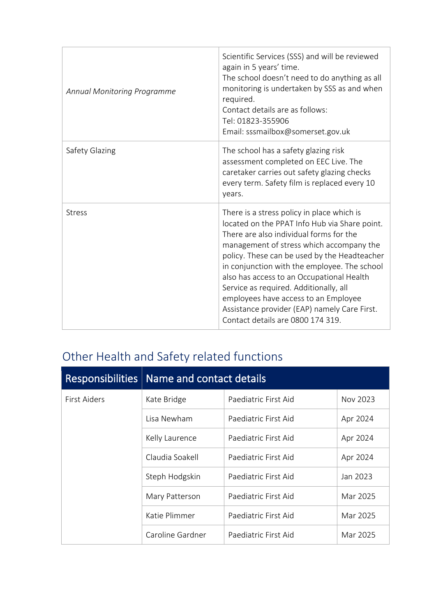| Annual Monitoring Programme | Scientific Services (SSS) and will be reviewed<br>again in 5 years' time.<br>The school doesn't need to do anything as all<br>monitoring is undertaken by SSS as and when<br>required.<br>Contact details are as follows:<br>Tel: 01823-355906<br>Email: sssmailbox@somerset.gov.uk                                                                                                                                                                                                                    |
|-----------------------------|--------------------------------------------------------------------------------------------------------------------------------------------------------------------------------------------------------------------------------------------------------------------------------------------------------------------------------------------------------------------------------------------------------------------------------------------------------------------------------------------------------|
| Safety Glazing              | The school has a safety glazing risk<br>assessment completed on EEC Live. The<br>caretaker carries out safety glazing checks<br>every term. Safety film is replaced every 10<br>years.                                                                                                                                                                                                                                                                                                                 |
| <b>Stress</b>               | There is a stress policy in place which is<br>located on the PPAT Info Hub via Share point.<br>There are also individual forms for the<br>management of stress which accompany the<br>policy. These can be used by the Headteacher<br>in conjunction with the employee. The school<br>also has access to an Occupational Health<br>Service as required. Additionally, all<br>employees have access to an Employee<br>Assistance provider (EAP) namely Care First.<br>Contact details are 0800 174 319. |

## Other Health and Safety related functions

| <b>Responsibilities</b> | Name and contact details |                      |          |
|-------------------------|--------------------------|----------------------|----------|
| First Aiders            | Kate Bridge              | Paediatric First Aid | Nov 2023 |
|                         | Lisa Newham              | Paediatric First Aid | Apr 2024 |
|                         | Kelly Laurence           | Paediatric First Aid | Apr 2024 |
|                         | Claudia Soakell          | Paediatric First Aid | Apr 2024 |
|                         | Steph Hodgskin           | Paediatric First Aid | Jan 2023 |
|                         | Mary Patterson           | Paediatric First Aid | Mar 2025 |
|                         | Katie Plimmer            | Paediatric First Aid | Mar 2025 |
|                         | Caroline Gardner         | Paediatric First Aid | Mar 2025 |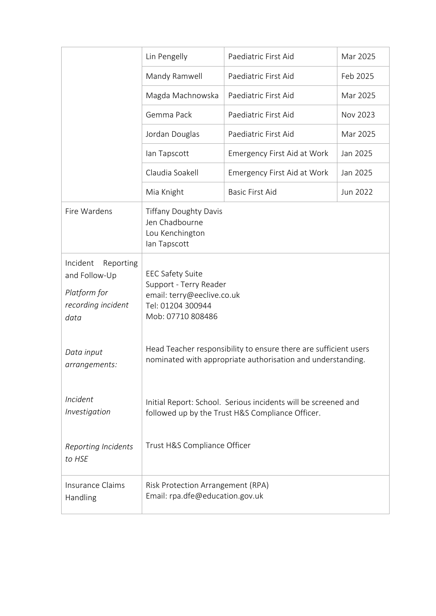|                                                                                      | Lin Pengelly                                                                                                                    | Paediatric First Aid               | Mar 2025 |
|--------------------------------------------------------------------------------------|---------------------------------------------------------------------------------------------------------------------------------|------------------------------------|----------|
|                                                                                      | Mandy Ramwell                                                                                                                   | Paediatric First Aid               | Feb 2025 |
|                                                                                      | Magda Machnowska                                                                                                                | Paediatric First Aid               | Mar 2025 |
|                                                                                      | Gemma Pack                                                                                                                      | Paediatric First Aid               | Nov 2023 |
|                                                                                      | Jordan Douglas                                                                                                                  | Paediatric First Aid               | Mar 2025 |
|                                                                                      | lan Tapscott                                                                                                                    | <b>Emergency First Aid at Work</b> | Jan 2025 |
|                                                                                      | Claudia Soakell                                                                                                                 | <b>Emergency First Aid at Work</b> | Jan 2025 |
|                                                                                      | Mia Knight                                                                                                                      | <b>Basic First Aid</b>             | Jun 2022 |
| Fire Wardens                                                                         | <b>Tiffany Doughty Davis</b><br>Jen Chadbourne<br>Lou Kenchington<br>lan Tapscott                                               |                                    |          |
| Incident<br>Reporting<br>and Follow-Up<br>Platform for<br>recording incident<br>data | <b>EEC Safety Suite</b><br>Support - Terry Reader<br>email: terry@eeclive.co.uk<br>Tel: 01204 300944<br>Mob: 07710 808486       |                                    |          |
| Data input<br>arrangements:                                                          | Head Teacher responsibility to ensure there are sufficient users<br>nominated with appropriate authorisation and understanding. |                                    |          |
| Incident<br>Investigation                                                            | Initial Report: School. Serious incidents will be screened and<br>followed up by the Trust H&S Compliance Officer.              |                                    |          |
| <b>Reporting Incidents</b><br>to HSE                                                 | Trust H&S Compliance Officer                                                                                                    |                                    |          |
| Insurance Claims<br>Handling                                                         | Risk Protection Arrangement (RPA)<br>Email: rpa.dfe@education.gov.uk                                                            |                                    |          |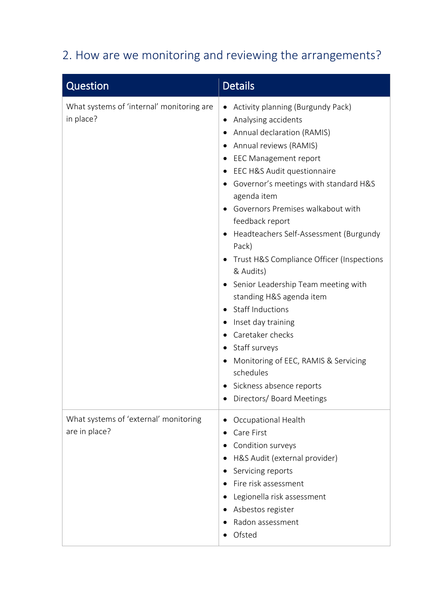## 2. How are we monitoring and reviewing the arrangements?

| Question                                               | <b>Details</b>                                                                                                                                                                                                                                                                                                                                                                                                                                                                                                                                                                                                                                                                              |
|--------------------------------------------------------|---------------------------------------------------------------------------------------------------------------------------------------------------------------------------------------------------------------------------------------------------------------------------------------------------------------------------------------------------------------------------------------------------------------------------------------------------------------------------------------------------------------------------------------------------------------------------------------------------------------------------------------------------------------------------------------------|
| What systems of 'internal' monitoring are<br>in place? | Activity planning (Burgundy Pack)<br>Analysing accidents<br>٠<br>Annual declaration (RAMIS)<br>Annual reviews (RAMIS)<br><b>EEC Management report</b><br>EEC H&S Audit questionnaire<br>Governor's meetings with standard H&S<br>agenda item<br>Governors Premises walkabout with<br>feedback report<br>Headteachers Self-Assessment (Burgundy<br>Pack)<br>Trust H&S Compliance Officer (Inspections<br>& Audits)<br>• Senior Leadership Team meeting with<br>standing H&S agenda item<br><b>Staff Inductions</b><br>Inset day training<br>Caretaker checks<br>Staff surveys<br>Monitoring of EEC, RAMIS & Servicing<br>schedules<br>Sickness absence reports<br>• Directors/Board Meetings |
| What systems of 'external' monitoring<br>are in place? | Occupational Health<br>Care First<br>Condition surveys<br>H&S Audit (external provider)<br>Servicing reports<br>Fire risk assessment<br>Legionella risk assessment<br>Asbestos register<br>Radon assessment<br>Ofsted                                                                                                                                                                                                                                                                                                                                                                                                                                                                       |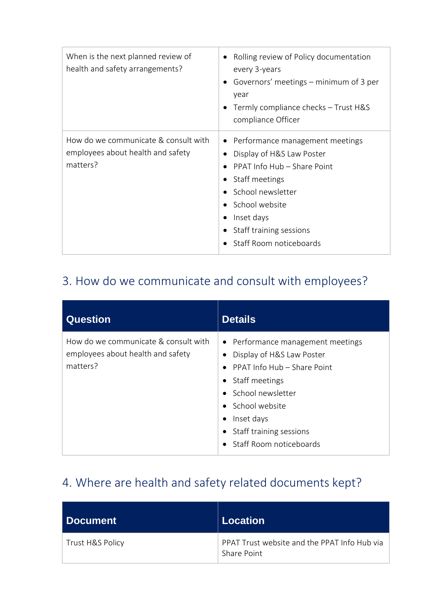| When is the next planned review of<br>health and safety arrangements?                 | Rolling review of Policy documentation<br>every 3-years<br>• Governors' meetings – minimum of 3 per<br>year<br>Termly compliance checks - Trust H&S<br>compliance Officer                                                  |
|---------------------------------------------------------------------------------------|----------------------------------------------------------------------------------------------------------------------------------------------------------------------------------------------------------------------------|
| How do we communicate & consult with<br>employees about health and safety<br>matters? | • Performance management meetings<br>Display of H&S Law Poster<br>PPAT Info Hub – Share Point<br>Staff meetings<br>School newsletter<br>School website<br>Inset days<br>Staff training sessions<br>Staff Room noticeboards |

### 3. How do we communicate and consult with employees?

| <b>Question</b>                                                                       | <b>Details</b>                                                                                                                                                                                                                                   |
|---------------------------------------------------------------------------------------|--------------------------------------------------------------------------------------------------------------------------------------------------------------------------------------------------------------------------------------------------|
| How do we communicate & consult with<br>employees about health and safety<br>matters? | • Performance management meetings<br>Display of H&S Law Poster<br>PPAT Info Hub – Share Point<br>Staff meetings<br>$\bullet$<br>• School newsletter<br>• School website<br>Inset days<br>٠<br>Staff training sessions<br>Staff Room noticeboards |

#### 4. Where are health and safety related documents kept?

| l Document       | Location                                                    |
|------------------|-------------------------------------------------------------|
| Trust H&S Policy | PPAT Trust website and the PPAT Info Hub via<br>Share Point |